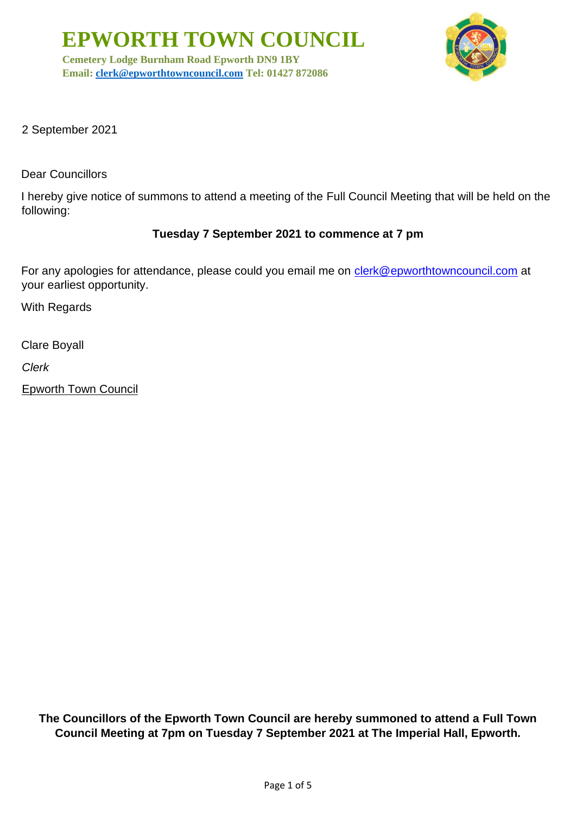**EPWORTH TOWN COUNCIL**

**Cemetery Lodge Burnham Road Epworth DN9 1BY Email: [clerk@epworthtowncouncil.com](mailto:clerk@epworthtowncouncil.com) Tel: 01427 872086**



2 September 2021

Dear Councillors

I hereby give notice of summons to attend a meeting of the Full Council Meeting that will be held on the following:

#### **Tuesday 7 September 2021 to commence at 7 pm**

For any apologies for attendance, please could you email me on clerk@epworthtowncouncil.com at your earliest opportunity.

With Regards

Clare Boyall

*Clerk*

Epworth Town Council

**The Councillors of the Epworth Town Council are hereby summoned to attend a Full Town Council Meeting at 7pm on Tuesday 7 September 2021 at The Imperial Hall, Epworth.**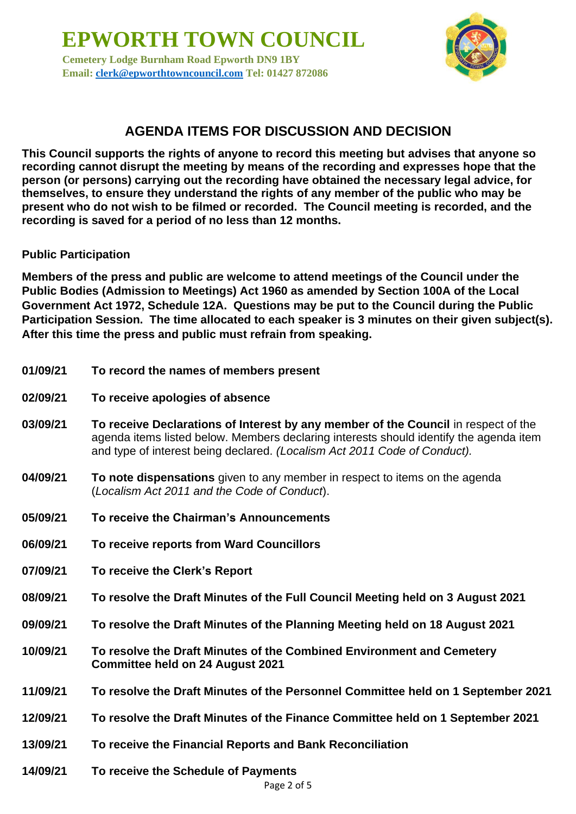**EPWORTH TOWN COUNCIL Cemetery Lodge Burnham Road Epworth DN9 1BY Email: [clerk@epworthtowncouncil.com](mailto:clerk@epworthtowncouncil.com) Tel: 01427 872086**



# **AGENDA ITEMS FOR DISCUSSION AND DECISION**

**This Council supports the rights of anyone to record this meeting but advises that anyone so recording cannot disrupt the meeting by means of the recording and expresses hope that the person (or persons) carrying out the recording have obtained the necessary legal advice, for themselves, to ensure they understand the rights of any member of the public who may be present who do not wish to be filmed or recorded. The Council meeting is recorded, and the recording is saved for a period of no less than 12 months.**

#### **Public Participation**

**Members of the press and public are welcome to attend meetings of the Council under the Public Bodies (Admission to Meetings) Act 1960 as amended by Section 100A of the Local Government Act 1972, Schedule 12A. Questions may be put to the Council during the Public Participation Session. The time allocated to each speaker is 3 minutes on their given subject(s). After this time the press and public must refrain from speaking.**

- **01/09/21 To record the names of members present**
- **02/09/21 To receive apologies of absence**
- **03/09/21 To receive Declarations of Interest by any member of the Council** in respect of the agenda items listed below. Members declaring interests should identify the agenda item and type of interest being declared. *(Localism Act 2011 Code of Conduct).*
- **04/09/21 To note dispensations** given to any member in respect to items on the agenda (*Localism Act 2011 and the Code of Conduct*).
- **05/09/21 To receive the Chairman's Announcements**
- **06/09/21 To receive reports from Ward Councillors**
- **07/09/21 To receive the Clerk's Report**
- **08/09/21 To resolve the Draft Minutes of the Full Council Meeting held on 3 August 2021**
- **09/09/21 To resolve the Draft Minutes of the Planning Meeting held on 18 August 2021**
- **10/09/21 To resolve the Draft Minutes of the Combined Environment and Cemetery Committee held on 24 August 2021**
- **11/09/21 To resolve the Draft Minutes of the Personnel Committee held on 1 September 2021**
- **12/09/21 To resolve the Draft Minutes of the Finance Committee held on 1 September 2021**
- **13/09/21 To receive the Financial Reports and Bank Reconciliation**
- **14/09/21 To receive the Schedule of Payments**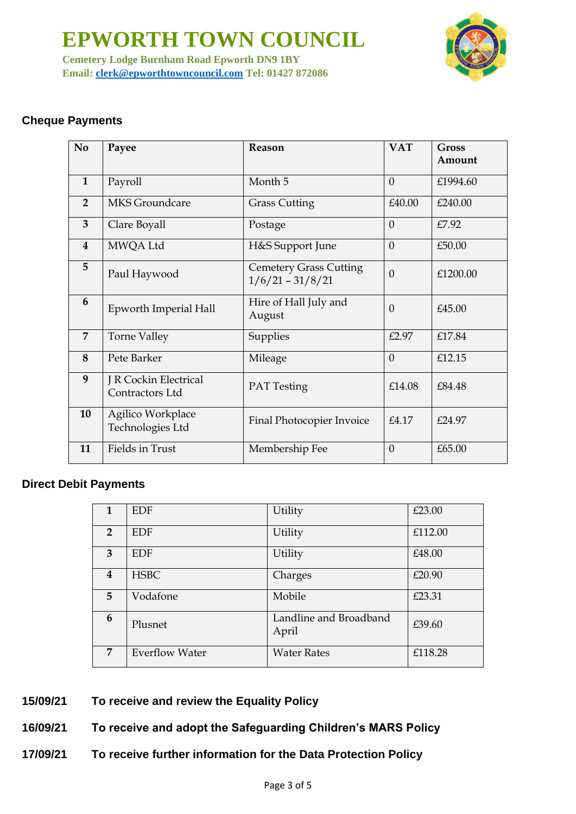**EPWORTH TOWN COUNCIL Cemetery Lodge Burnham Road Epworth DN9 1BY Email: [clerk@epworthtowncouncil.com](mailto:clerk@epworthtowncouncil.com) Tel: 01427 872086**



## **Cheque Payments**

| N <sub>0</sub> | Payee                                    | Reason                                              | <b>VAT</b> | Gross<br>Amount |
|----------------|------------------------------------------|-----------------------------------------------------|------------|-----------------|
| $\mathbf{1}$   | Payroll                                  | Month 5                                             | $\Omega$   | £1994.60        |
| $\overline{2}$ | <b>MKS</b> Groundcare                    | <b>Grass Cutting</b>                                | £40.00     | £240.00         |
| 3              | Clare Boyall                             | Postage                                             | $\Omega$   | £7.92           |
| $\overline{4}$ | MWQA Ltd                                 | H&S Support June                                    | $\Omega$   | £50.00          |
| 5              | Paul Haywood                             | <b>Cemetery Grass Cutting</b><br>$1/6/21 - 31/8/21$ | $\Omega$   | £1200.00        |
| 6              | Epworth Imperial Hall                    | Hire of Hall July and<br>August                     | $\Omega$   | £45.00          |
| 7              | <b>Torne Valley</b>                      | Supplies                                            | £2.97      | £17.84          |
| 8              | Pete Barker                              | Mileage                                             | $\Omega$   | £12.15          |
| 9              | J R Cockin Electrical<br>Contractors Ltd | <b>PAT</b> Testing                                  | £14.08     | £84.48          |
| 10             | Agilico Workplace<br>Technologies Ltd    | Final Photocopier Invoice                           | £4.17      | £24.97          |
| 11             | Fields in Trust                          | Membership Fee                                      | $\Omega$   | £65.00          |

#### **Direct Debit Payments**

| 1                       | <b>EDF</b>            | Utility                         | £23.00  |
|-------------------------|-----------------------|---------------------------------|---------|
| $\overline{2}$          | EDF                   | Utility                         | £112.00 |
| 3                       | EDF                   | Utility                         | £48.00  |
| $\overline{\mathbf{4}}$ | <b>HSBC</b>           | Charges                         | £20.90  |
| 5                       | Vodafone              | Mobile                          | £23.31  |
| 6                       | Plusnet               | Landline and Broadband<br>April | £39.60  |
| 7                       | <b>Everflow Water</b> | <b>Water Rates</b>              | £118.28 |

- **15/09/21 To receive and review the Equality Policy**
- **16/09/21 To receive and adopt the Safeguarding Children's MARS Policy**
- **17/09/21 To receive further information for the Data Protection Policy**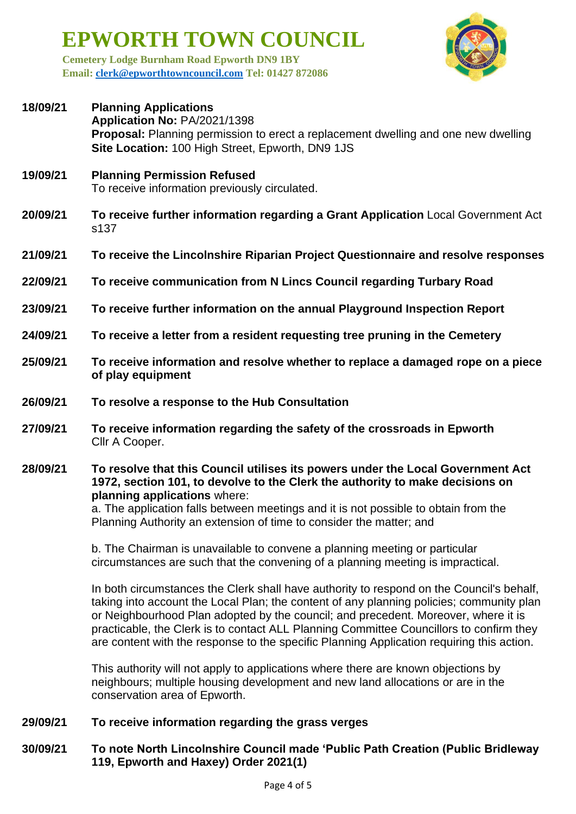**EPWORTH TOWN COUNCIL**

**Cemetery Lodge Burnham Road Epworth DN9 1BY Email: [clerk@epworthtowncouncil.com](mailto:clerk@epworthtowncouncil.com) Tel: 01427 872086**

| 18/09/21 | <b>Planning Applications</b><br>Application No: PA/2021/1398<br><b>Proposal:</b> Planning permission to erect a replacement dwelling and one new dwelling<br>Site Location: 100 High Street, Epworth, DN9 1JS |
|----------|---------------------------------------------------------------------------------------------------------------------------------------------------------------------------------------------------------------|
| 19/09/21 | <b>Planning Permission Refused</b><br>To receive information previously circulated.                                                                                                                           |
| 20/09/21 | To receive further information regarding a Grant Application Local Government Act<br>s137                                                                                                                     |
| 21/09/21 | To receive the Lincolnshire Riparian Project Questionnaire and resolve responses                                                                                                                              |
| 22/09/21 | To receive communication from N Lincs Council regarding Turbary Road                                                                                                                                          |
| 23/09/21 | To receive further information on the annual Playground Inspection Report                                                                                                                                     |
| 24/09/21 | To receive a letter from a resident requesting tree pruning in the Cemetery                                                                                                                                   |
| 25/09/21 | To receive information and resolve whether to replace a damaged rope on a piece<br>of play equipment                                                                                                          |
| 26/09/21 | To resolve a response to the Hub Consultation                                                                                                                                                                 |
| 27/09/21 | To receive information regarding the safety of the crossroads in Epworth<br>Cllr A Cooper.                                                                                                                    |
|          |                                                                                                                                                                                                               |

#### **28/09/21 To resolve that this Council utilises its powers under the Local Government Act 1972, section 101, to devolve to the Clerk the authority to make decisions on planning applications** where:

a. The application falls between meetings and it is not possible to obtain from the Planning Authority an extension of time to consider the matter; and

b. The Chairman is unavailable to convene a planning meeting or particular circumstances are such that the convening of a planning meeting is impractical.

In both circumstances the Clerk shall have authority to respond on the Council's behalf, taking into account the Local Plan; the content of any planning policies; community plan or Neighbourhood Plan adopted by the council; and precedent. Moreover, where it is practicable, the Clerk is to contact ALL Planning Committee Councillors to confirm they are content with the response to the specific Planning Application requiring this action.

This authority will not apply to applications where there are known objections by neighbours; multiple housing development and new land allocations or are in the conservation area of Epworth.

## **29/09/21 To receive information regarding the grass verges**

### **30/09/21 To note North Lincolnshire Council made 'Public Path Creation (Public Bridleway 119, Epworth and Haxey) Order 2021(1)**